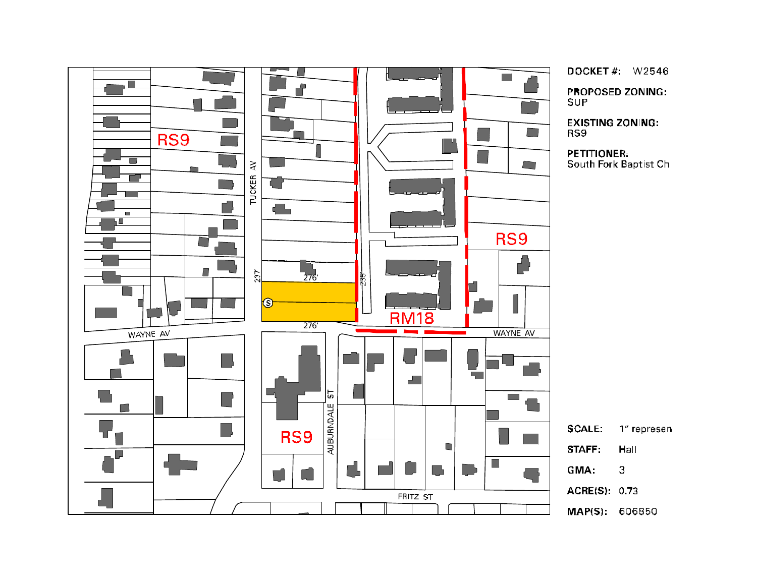

DOCKET #:  $W2546$ **PROPOSED ZONING:** 

**EXISTING ZONING:** 

**PETITIONER:** South Fork Baptist Ch

> Hall  $\overline{3}$

1" represen

ACRE(S): 0.73

MAP(S): 606850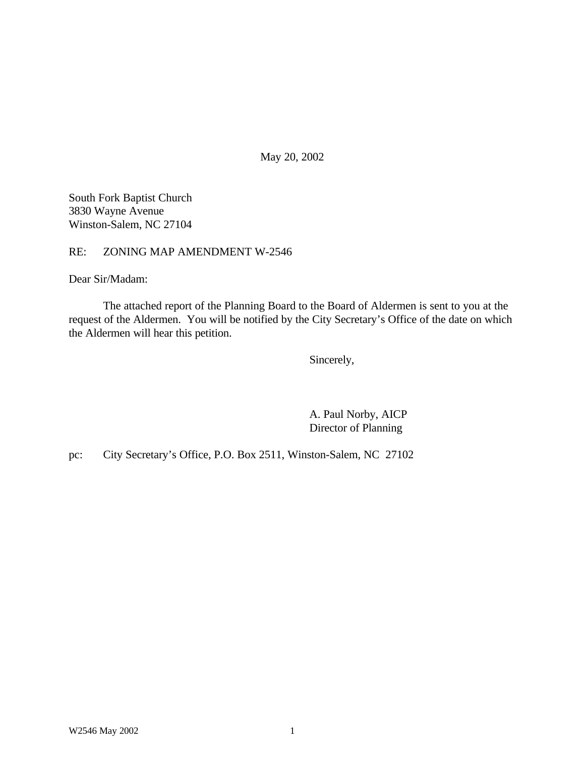May 20, 2002

South Fork Baptist Church 3830 Wayne Avenue Winston-Salem, NC 27104

RE: ZONING MAP AMENDMENT W-2546

Dear Sir/Madam:

The attached report of the Planning Board to the Board of Aldermen is sent to you at the request of the Aldermen. You will be notified by the City Secretary's Office of the date on which the Aldermen will hear this petition.

Sincerely,

A. Paul Norby, AICP Director of Planning

pc: City Secretary's Office, P.O. Box 2511, Winston-Salem, NC 27102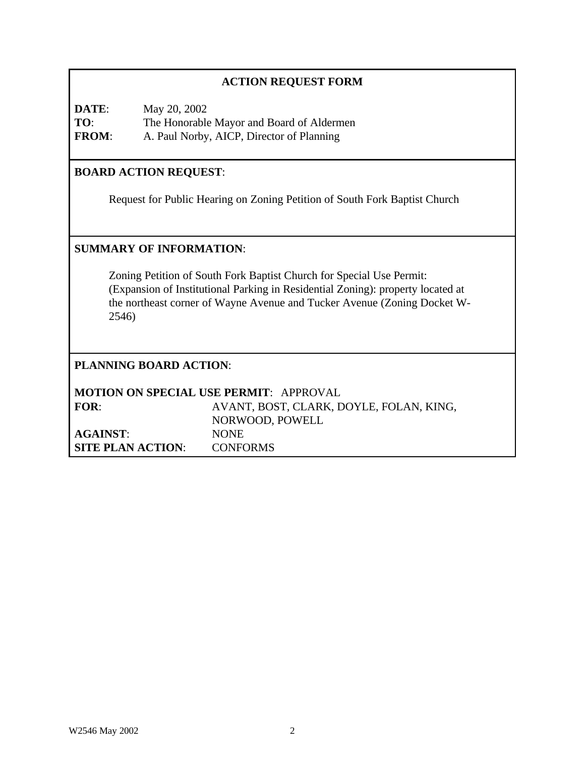| <b>ACTION REQUEST FORM</b>                                                                                                                                                                                                                   |                                                                                                        |  |  |
|----------------------------------------------------------------------------------------------------------------------------------------------------------------------------------------------------------------------------------------------|--------------------------------------------------------------------------------------------------------|--|--|
| DATE:<br>TO:<br><b>FROM:</b>                                                                                                                                                                                                                 | May 20, 2002<br>The Honorable Mayor and Board of Aldermen<br>A. Paul Norby, AICP, Director of Planning |  |  |
| <b>BOARD ACTION REQUEST:</b>                                                                                                                                                                                                                 |                                                                                                        |  |  |
|                                                                                                                                                                                                                                              | Request for Public Hearing on Zoning Petition of South Fork Baptist Church                             |  |  |
| <b>SUMMARY OF INFORMATION:</b>                                                                                                                                                                                                               |                                                                                                        |  |  |
| Zoning Petition of South Fork Baptist Church for Special Use Permit:<br>(Expansion of Institutional Parking in Residential Zoning): property located at<br>the northeast corner of Wayne Avenue and Tucker Avenue (Zoning Docket W-<br>2546) |                                                                                                        |  |  |
| <b>PLANNING BOARD ACTION:</b>                                                                                                                                                                                                                |                                                                                                        |  |  |
| <b>MOTION ON SPECIAL USE PERMIT: APPROVAL</b>                                                                                                                                                                                                |                                                                                                        |  |  |
| FOR:                                                                                                                                                                                                                                         | AVANT, BOST, CLARK, DOYLE, FOLAN, KING,<br>NORWOOD, POWELL                                             |  |  |
| <b>AGAINST:</b>                                                                                                                                                                                                                              | <b>NONE</b>                                                                                            |  |  |
| <b>SITE PLAN ACTION:</b>                                                                                                                                                                                                                     | <b>CONFORMS</b>                                                                                        |  |  |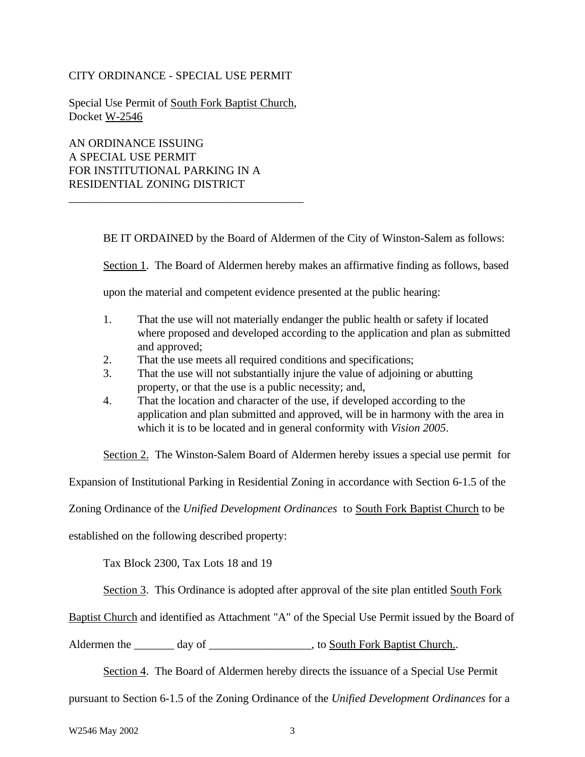### CITY ORDINANCE - SPECIAL USE PERMIT

Special Use Permit of South Fork Baptist Church, Docket W-2546

\_\_\_\_\_\_\_\_\_\_\_\_\_\_\_\_\_\_\_\_\_\_\_\_\_\_\_\_\_\_\_\_\_\_\_\_\_\_\_\_\_

AN ORDINANCE ISSUING A SPECIAL USE PERMIT FOR INSTITUTIONAL PARKING IN A RESIDENTIAL ZONING DISTRICT

BE IT ORDAINED by the Board of Aldermen of the City of Winston-Salem as follows:

Section 1. The Board of Aldermen hereby makes an affirmative finding as follows, based

upon the material and competent evidence presented at the public hearing:

- 1. That the use will not materially endanger the public health or safety if located where proposed and developed according to the application and plan as submitted and approved;
- 2. That the use meets all required conditions and specifications;
- 3. That the use will not substantially injure the value of adjoining or abutting property, or that the use is a public necessity; and,
- 4. That the location and character of the use, if developed according to the application and plan submitted and approved, will be in harmony with the area in which it is to be located and in general conformity with *Vision 2005*.

Section 2. The Winston-Salem Board of Aldermen hereby issues a special use permit for

Expansion of Institutional Parking in Residential Zoning in accordance with Section 6-1.5 of the

Zoning Ordinance of the *Unified Development Ordinances* to South Fork Baptist Church to be

established on the following described property:

Tax Block 2300, Tax Lots 18 and 19

Section 3. This Ordinance is adopted after approval of the site plan entitled South Fork

Baptist Church and identified as Attachment "A" of the Special Use Permit issued by the Board of

Aldermen the \_\_\_\_\_\_\_ day of \_\_\_\_\_\_\_\_\_\_\_\_\_\_\_\_\_, to South Fork Baptist Church...

Section 4. The Board of Aldermen hereby directs the issuance of a Special Use Permit

pursuant to Section 6-1.5 of the Zoning Ordinance of the *Unified Development Ordinances* for a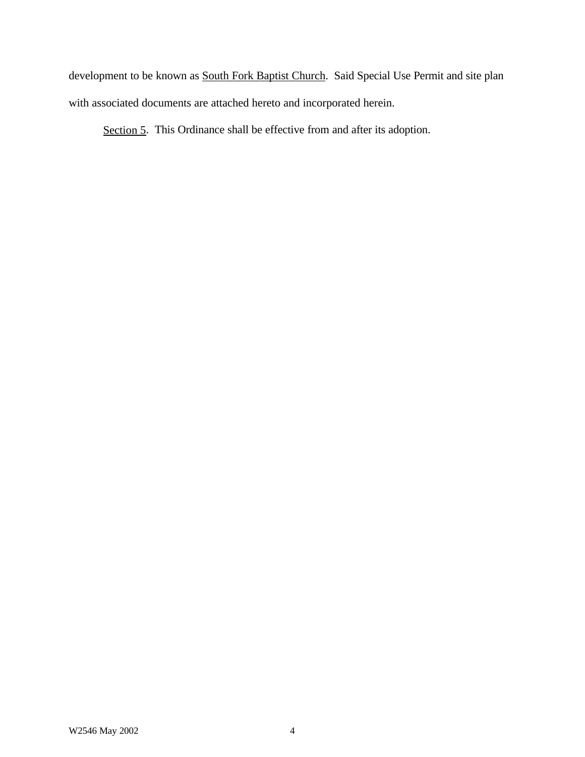development to be known as **South Fork Baptist Church**. Said Special Use Permit and site plan with associated documents are attached hereto and incorporated herein.

Section 5. This Ordinance shall be effective from and after its adoption.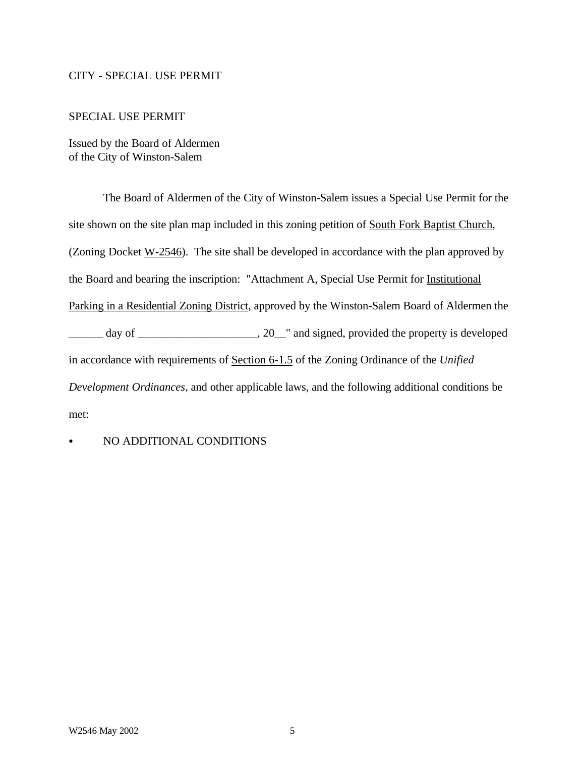#### CITY - SPECIAL USE PERMIT

#### SPECIAL USE PERMIT

Issued by the Board of Aldermen of the City of Winston-Salem

The Board of Aldermen of the City of Winston-Salem issues a Special Use Permit for the site shown on the site plan map included in this zoning petition of South Fork Baptist Church, (Zoning Docket  $W-2546$ ). The site shall be developed in accordance with the plan approved by the Board and bearing the inscription: "Attachment A, Special Use Permit for Institutional Parking in a Residential Zoning District, approved by the Winston-Salem Board of Aldermen the \_\_\_\_\_\_ day of \_\_\_\_\_\_\_\_\_\_\_\_\_\_\_\_\_\_\_\_\_, 20\_\_" and signed, provided the property is developed in accordance with requirements of Section 6-1.5 of the Zoning Ordinance of the *Unified Development Ordinances*, and other applicable laws, and the following additional conditions be met:

### NO ADDITIONAL CONDITIONS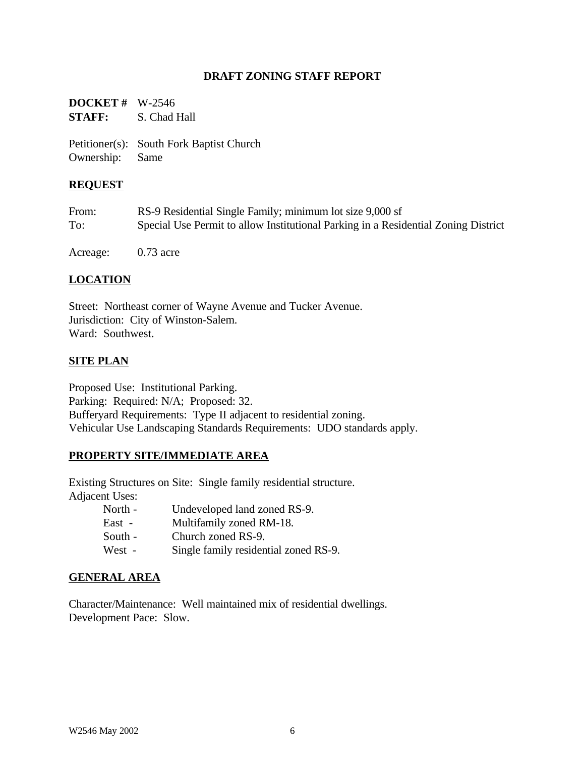### **DRAFT ZONING STAFF REPORT**

**DOCKET #** W-2546 **STAFF:** S. Chad Hall

Petitioner(s): South Fork Baptist Church Ownership: Same

#### **REQUEST**

| From: | RS-9 Residential Single Family; minimum lot size 9,000 sf                          |
|-------|------------------------------------------------------------------------------------|
| To:   | Special Use Permit to allow Institutional Parking in a Residential Zoning District |

Acreage: 0.73 acre

### **LOCATION**

Street: Northeast corner of Wayne Avenue and Tucker Avenue. Jurisdiction: City of Winston-Salem. Ward: Southwest.

#### **SITE PLAN**

Proposed Use: Institutional Parking. Parking: Required: N/A; Proposed: 32. Bufferyard Requirements: Type II adjacent to residential zoning. Vehicular Use Landscaping Standards Requirements: UDO standards apply.

#### **PROPERTY SITE/IMMEDIATE AREA**

Existing Structures on Site: Single family residential structure. Adjacent Uses:

| North - | Undeveloped land zoned RS-9.          |
|---------|---------------------------------------|
| East -  | Multifamily zoned RM-18.              |
| South - | Church zoned RS-9.                    |
| West -  | Single family residential zoned RS-9. |

#### **GENERAL AREA**

Character/Maintenance: Well maintained mix of residential dwellings. Development Pace: Slow.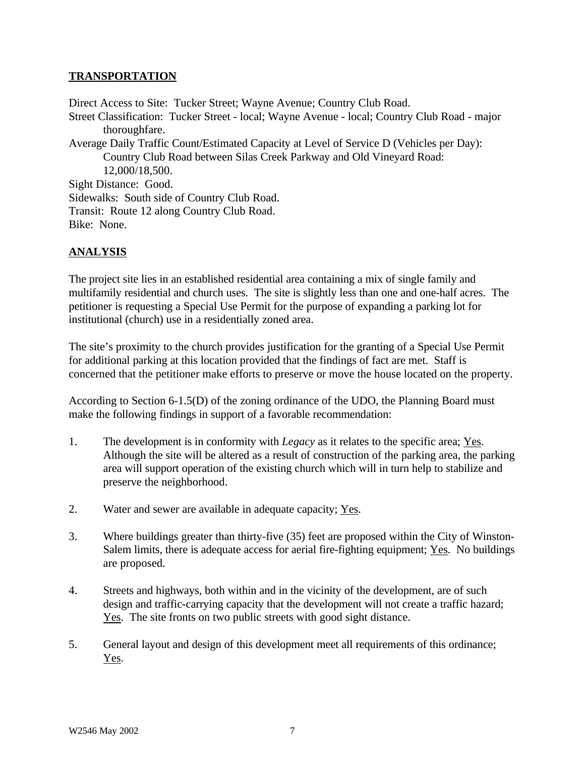## **TRANSPORTATION**

Direct Access to Site: Tucker Street; Wayne Avenue; Country Club Road. Street Classification: Tucker Street - local; Wayne Avenue - local; Country Club Road - major thoroughfare. Average Daily Traffic Count/Estimated Capacity at Level of Service D (Vehicles per Day): Country Club Road between Silas Creek Parkway and Old Vineyard Road: 12,000/18,500. Sight Distance: Good. Sidewalks: South side of Country Club Road. Transit: Route 12 along Country Club Road. Bike: None.

# **ANALYSIS**

The project site lies in an established residential area containing a mix of single family and multifamily residential and church uses. The site is slightly less than one and one-half acres. The petitioner is requesting a Special Use Permit for the purpose of expanding a parking lot for institutional (church) use in a residentially zoned area.

The site's proximity to the church provides justification for the granting of a Special Use Permit for additional parking at this location provided that the findings of fact are met. Staff is concerned that the petitioner make efforts to preserve or move the house located on the property.

According to Section 6-1.5(D) of the zoning ordinance of the UDO, the Planning Board must make the following findings in support of a favorable recommendation:

- 1. The development is in conformity with *Legacy* as it relates to the specific area; Yes. Although the site will be altered as a result of construction of the parking area, the parking area will support operation of the existing church which will in turn help to stabilize and preserve the neighborhood.
- 2. Water and sewer are available in adequate capacity; Yes.
- 3. Where buildings greater than thirty-five (35) feet are proposed within the City of Winston-Salem limits, there is adequate access for aerial fire-fighting equipment; Yes. No buildings are proposed.
- 4. Streets and highways, both within and in the vicinity of the development, are of such design and traffic-carrying capacity that the development will not create a traffic hazard; Yes. The site fronts on two public streets with good sight distance.
- 5. General layout and design of this development meet all requirements of this ordinance; Yes.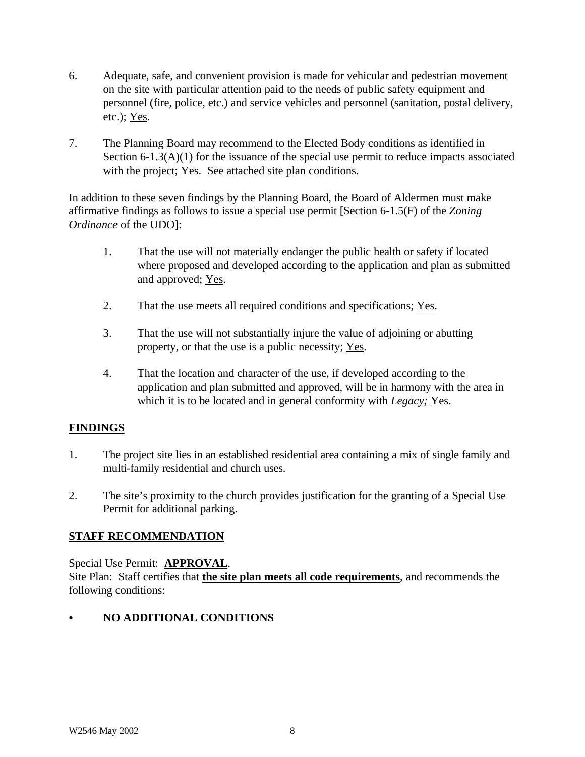- 6. Adequate, safe, and convenient provision is made for vehicular and pedestrian movement on the site with particular attention paid to the needs of public safety equipment and personnel (fire, police, etc.) and service vehicles and personnel (sanitation, postal delivery, etc.); Yes.
- 7. The Planning Board may recommend to the Elected Body conditions as identified in Section 6-1.3(A)(1) for the issuance of the special use permit to reduce impacts associated with the project; Yes. See attached site plan conditions.

In addition to these seven findings by the Planning Board, the Board of Aldermen must make affirmative findings as follows to issue a special use permit [Section 6-1.5(F) of the *Zoning Ordinance* of the UDO]:

- 1. That the use will not materially endanger the public health or safety if located where proposed and developed according to the application and plan as submitted and approved; Yes.
- 2. That the use meets all required conditions and specifications; Yes.
- 3. That the use will not substantially injure the value of adjoining or abutting property, or that the use is a public necessity; Yes.
- 4. That the location and character of the use, if developed according to the application and plan submitted and approved, will be in harmony with the area in which it is to be located and in general conformity with *Legacy;* Yes.

# **FINDINGS**

- 1. The project site lies in an established residential area containing a mix of single family and multi-family residential and church uses.
- 2. The site's proximity to the church provides justification for the granting of a Special Use Permit for additional parking.

## **STAFF RECOMMENDATION**

Special Use Permit: **APPROVAL**. Site Plan: Staff certifies that **the site plan meets all code requirements**, and recommends the following conditions:

# **NO ADDITIONAL CONDITIONS**